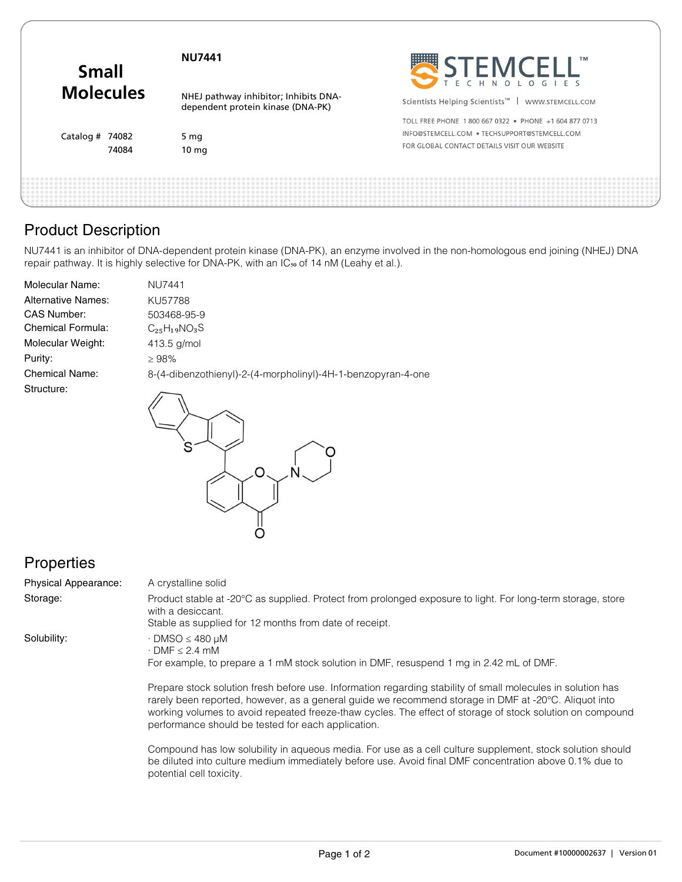| SEEMCELL"<br><b>Molecules</b><br>NHEJ pathway inhibitor; Inhibits DNA-<br>Scientists Helping Scientists <sup>™</sup>  <br>WWW.STEMCELL.COM<br>dependent protein kinase (DNA-PK)<br>TOLL FREE PHONE 1800 667 0322 . PHONE +1 604 877 0713<br>INFO@STEMCELL.COM . TECHSUPPORT@STEMCELL.COM<br>Catalog # $74082$<br>5 $mg$<br>FOR GLOBAL CONTACT DETAILS VISIT OUR WEBSITE | 74084<br>10 <sub>mg</sub> |
|-------------------------------------------------------------------------------------------------------------------------------------------------------------------------------------------------------------------------------------------------------------------------------------------------------------------------------------------------------------------------|---------------------------|
|                                                                                                                                                                                                                                                                                                                                                                         |                           |
|                                                                                                                                                                                                                                                                                                                                                                         |                           |
|                                                                                                                                                                                                                                                                                                                                                                         |                           |
|                                                                                                                                                                                                                                                                                                                                                                         |                           |

# Product Description

NU7441 is an inhibitor of DNA-dependent protein kinase (DNA-PK), an enzyme involved in the non-homologous end joining (NHEJ) DNA repair pathway. It is highly selective for DNA-PK, with an IC<sub>50</sub> of 14 nM (Leahy et al.).

| <b>Molecular Name:</b>    | <b>NU7441</b>                                                |
|---------------------------|--------------------------------------------------------------|
| <b>Alternative Names:</b> | KU57788                                                      |
| <b>CAS Number:</b>        | 503468-95-9                                                  |
| Chemical Formula:         | $C_{25}H_{19}NO_{3}S$                                        |
| Molecular Weight:         | $413.5$ g/mol                                                |
| Purity:                   | ≥ 98%                                                        |
| <b>Chemical Name:</b>     | 8-(4-dibenzothienyl)-2-(4-morpholinyl)-4H-1-benzopyran-4-one |
| Structure:                |                                                              |

 $\overline{\mathcal{O}}$ 

Ô

## **Properties**

| Physical Appearance: | A crystalline solid                                                                                                                                                                                                                                                                                                                                                                    |
|----------------------|----------------------------------------------------------------------------------------------------------------------------------------------------------------------------------------------------------------------------------------------------------------------------------------------------------------------------------------------------------------------------------------|
| Storage:             | Product stable at -20°C as supplied. Protect from prolonged exposure to light. For long-term storage, store<br>with a desiccant.                                                                                                                                                                                                                                                       |
|                      | Stable as supplied for 12 months from date of receipt.                                                                                                                                                                                                                                                                                                                                 |
| Solubility:          | $\cdot$ DMSO $\leq$ 480 µM<br>$\cdot$ DMF $\leq$ 2.4 mM<br>For example, to prepare a 1 mM stock solution in DMF, resuspend 1 mg in 2.42 mL of DMF.                                                                                                                                                                                                                                     |
|                      | Prepare stock solution fresh before use. Information regarding stability of small molecules in solution has<br>rarely been reported, however, as a general guide we recommend storage in DMF at -20°C. Aliquot into<br>working volumes to avoid repeated freeze-thaw cycles. The effect of storage of stock solution on compound<br>performance should be tested for each application. |

Compound has low solubility in aqueous media. For use as a cell culture supplement, stock solution should be diluted into culture medium immediately before use. Avoid final DMF concentration above 0.1% due to potential cell toxicity.